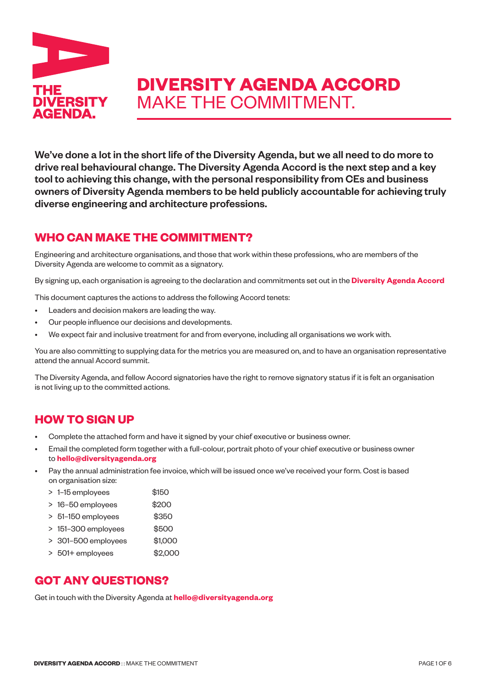

# **DIVERSITY AGENDA ACCORD** MAKE THE COMMITMENT.

We've done a lot in the short life of the Diversity Agenda, but we all need to do more to drive real behavioural change. The Diversity Agenda Accord is the next step and a key tool to achieving this change, with the personal responsibility from CEs and business owners of Diversity Agenda members to be held publicly accountable for achieving truly diverse engineering and architecture professions.

### **WHO CAN MAKE THE COMMITMENT?**

Engineering and architecture organisations, and those that work within these professions, who are members of the Diversity Agenda are welcome to commit as a signatory.

By signing up, each organisation is agreeing to the declaration and commitments set out in the **[Diversity Agenda Accord](www.diversityagenda.org/accord)**

This document captures the actions to address the following Accord tenets:

- Leaders and decision makers are leading the way.
- Our people influence our decisions and developments.
- We expect fair and inclusive treatment for and from everyone, including all organisations we work with.

You are also committing to supplying data for the metrics you are measured on, and to have an organisation representative attend the annual Accord summit.

The Diversity Agenda, and fellow Accord signatories have the right to remove signatory status if it is felt an organisation is not living up to the committed actions.

## **HOW TO SIGN UP**

- Complete the attached form and have it signed by your chief executive or business owner.
- Email the completed form together with a full-colour, portrait photo of your chief executive or business owner to **<hello@diversityagenda.org>**
- Pay the annual administration fee invoice, which will be issued once we've received your form. Cost is based on organisation size:
	- > 1-15 employees \$150
	- > 16–50 employees \$200
	- > 51-150 employees \$350
	- > 151-300 employees \$500
	- > 301–500 employees \$1,000
	- > 501+ employees \$2,000

### **GOT ANY QUESTIONS?**

Get in touch with the Diversity Agenda at **hello@diversityagenda.org**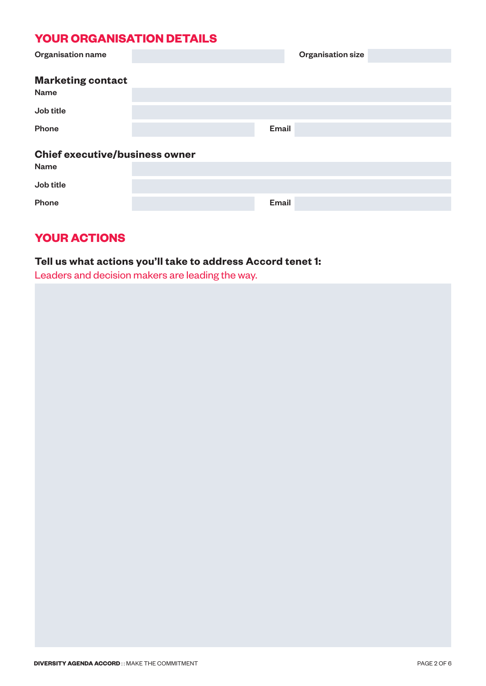# **YOUR ORGANISATION DETAILS**

| <b>Organisation name</b>              |  |       | <b>Organisation size</b> |  |  |
|---------------------------------------|--|-------|--------------------------|--|--|
| <b>Marketing contact</b><br>Name      |  |       |                          |  |  |
| Job title                             |  |       |                          |  |  |
| <b>Phone</b>                          |  | Email |                          |  |  |
| <b>Chief executive/business owner</b> |  |       |                          |  |  |
| <b>Name</b>                           |  |       |                          |  |  |
| Job title                             |  |       |                          |  |  |
| <b>Phone</b>                          |  | Email |                          |  |  |

# **YOUR ACTIONS**

### **Tell us what actions you'll take to address Accord tenet 1:**

Leaders and decision makers are leading the way.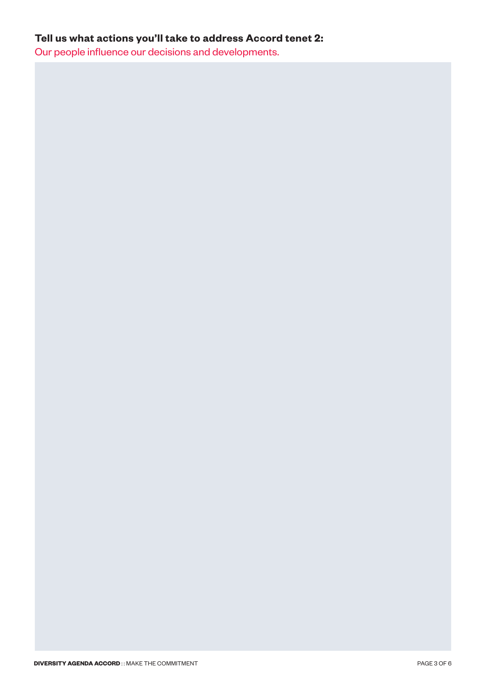## **Tell us what actions you'll take to address Accord tenet 2:**

Our people influence our decisions and developments.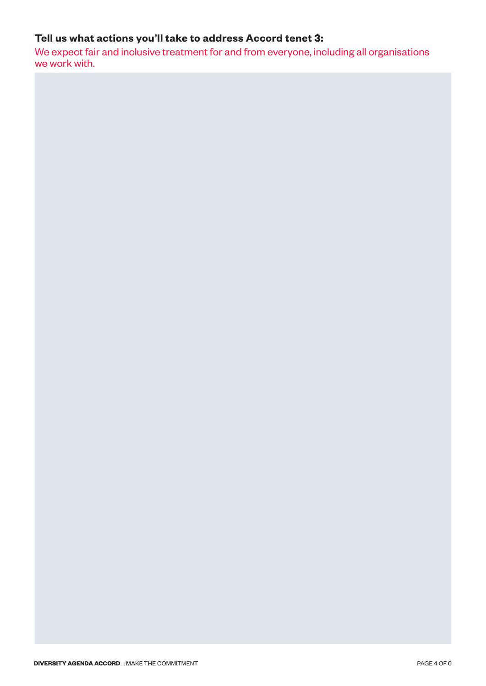## **Tell us what actions you'll take to address Accord tenet 3:**

We expect fair and inclusive treatment for and from everyone, including all organisations we work with.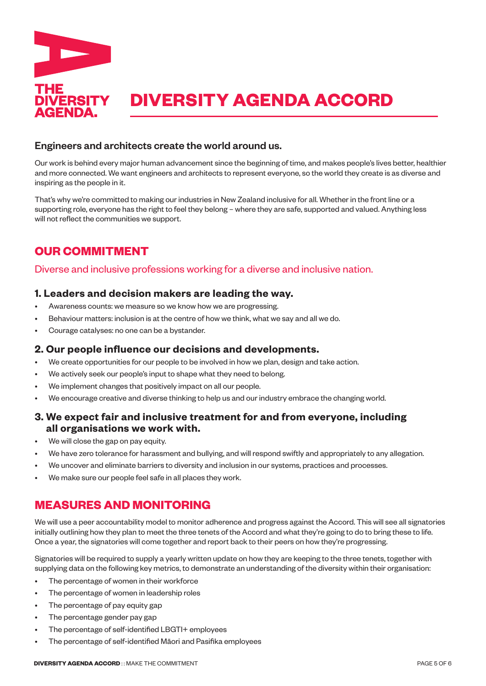

#### Engineers and architects create the world around us.

Our work is behind every major human advancement since the beginning of time, and makes people's lives better, healthier and more connected. We want engineers and architects to represent everyone, so the world they create is as diverse and inspiring as the people in it.

That's why we're committed to making our industries in New Zealand inclusive for all. Whether in the front line or a supporting role, everyone has the right to feel they belong – where they are safe, supported and valued. Anything less will not reflect the communities we support.

# **OUR COMMITMENT**

#### Diverse and inclusive professions working for a diverse and inclusive nation.

#### **1. Leaders and decision makers are leading the way.**

- Awareness counts: we measure so we know how we are progressing.
- Behaviour matters: inclusion is at the centre of how we think, what we say and all we do.
- Courage catalyses: no one can be a bystander.

#### **2. Our people influence our decisions and developments.**

- We create opportunities for our people to be involved in how we plan, design and take action.
- We actively seek our people's input to shape what they need to belong.
- We implement changes that positively impact on all our people.
- We encourage creative and diverse thinking to help us and our industry embrace the changing world.

#### **3. We expect fair and inclusive treatment for and from everyone, including all organisations we work with.**

- We will close the gap on pay equity.
- We have zero tolerance for harassment and bullying, and will respond swiftly and appropriately to any allegation.
- We uncover and eliminate barriers to diversity and inclusion in our systems, practices and processes.
- We make sure our people feel safe in all places they work.

## **MEASURES AND MONITORING**

We will use a peer accountability model to monitor adherence and progress against the Accord. This will see all signatories initially outlining how they plan to meet the three tenets of the Accord and what they're going to do to bring these to life. Once a year, the signatories will come together and report back to their peers on how they're progressing.

Signatories will be required to supply a yearly written update on how they are keeping to the three tenets, together with supplying data on the following key metrics, to demonstrate an understanding of the diversity within their organisation:

- The percentage of women in their workforce
- The percentage of women in leadership roles
- The percentage of pay equity gap
- The percentage gender pay gap
- The percentage of self-identified LBGTI+ employees
- The percentage of self-identified Māori and Pasifika employees